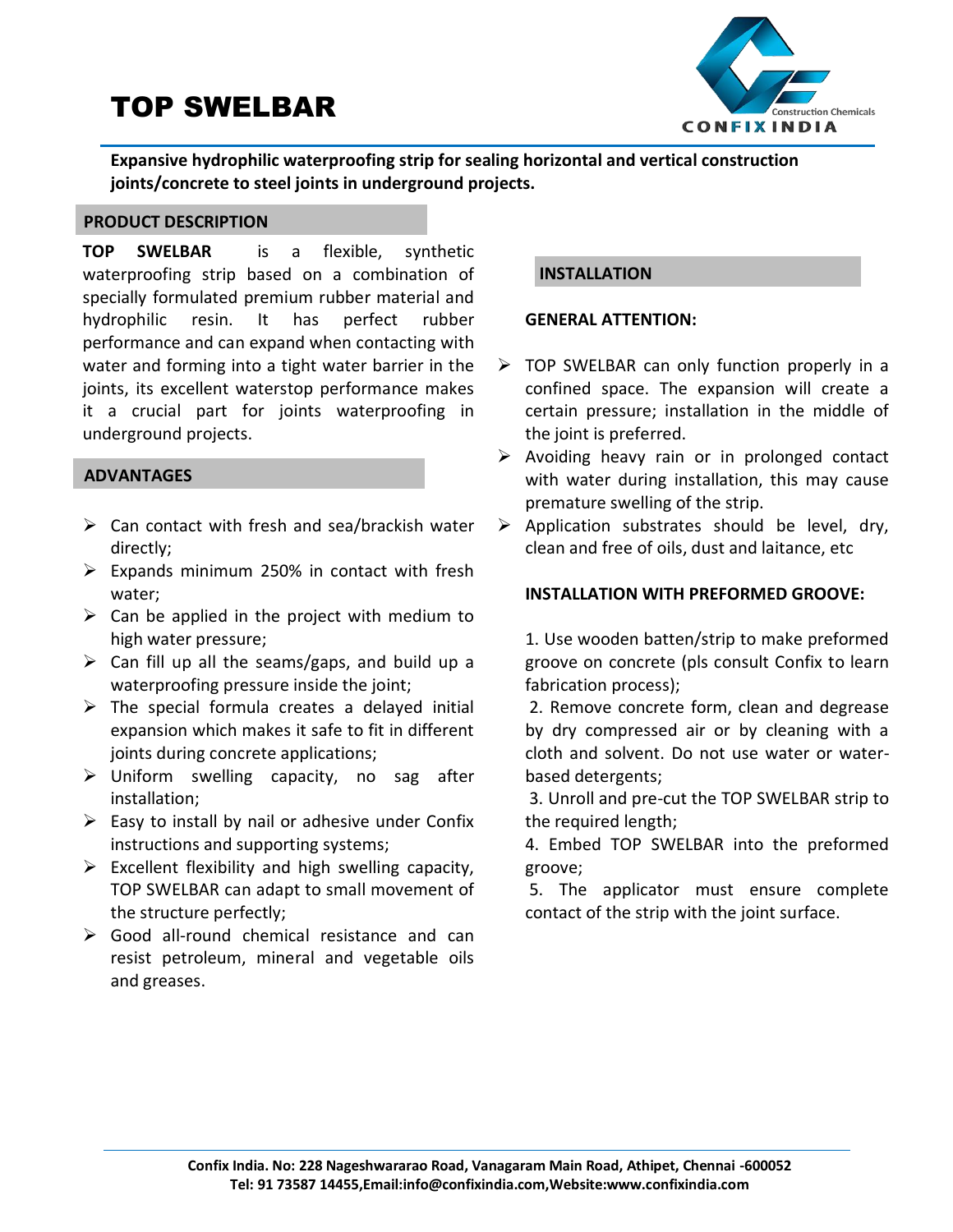# TOP SWELBAR



**Expansive hydrophilic waterproofing strip for sealing horizontal and vertical construction joints/concrete to steel joints in underground projects.**

### **PRODUCT DESCRIPTION**

**TOP SWELBAR** is a flexible, synthetic waterproofing strip based on a combination of specially formulated premium rubber material and hydrophilic resin. It has perfect rubber performance and can expand when contacting with water and forming into a tight water barrier in the joints, its excellent waterstop performance makes it a crucial part for joints waterproofing in underground projects.

#### **ADVANTAGES**

- $\triangleright$  Can contact with fresh and sea/brackish water directly;
- $\triangleright$  Expands minimum 250% in contact with fresh water;
- $\triangleright$  Can be applied in the project with medium to high water pressure;
- $\triangleright$  Can fill up all the seams/gaps, and build up a waterproofing pressure inside the joint;
- $\triangleright$  The special formula creates a delayed initial expansion which makes it safe to fit in different joints during concrete applications;
- $\triangleright$  Uniform swelling capacity, no sag after installation;
- $\triangleright$  Easy to install by nail or adhesive under Confix instructions and supporting systems;
- $\triangleright$  Excellent flexibility and high swelling capacity, TOP SWELBAR can adapt to small movement of the structure perfectly;
- $\triangleright$  Good all-round chemical resistance and can resist petroleum, mineral and vegetable oils and greases.

## **INSTALLATION**

#### **GENERAL ATTENTION:**

- $\triangleright$  TOP SWELBAR can only function properly in a confined space. The expansion will create a certain pressure; installation in the middle of the joint is preferred.
- $\triangleright$  Avoiding heavy rain or in prolonged contact with water during installation, this may cause premature swelling of the strip.
- $\triangleright$  Application substrates should be level, dry, clean and free of oils, dust and laitance, etc

### **INSTALLATION WITH PREFORMED GROOVE:**

1. Use wooden batten/strip to make preformed groove on concrete (pls consult Confix to learn fabrication process);

2. Remove concrete form, clean and degrease by dry compressed air or by cleaning with a cloth and solvent. Do not use water or waterbased detergents;

3. Unroll and pre-cut the TOP SWELBAR strip to the required length;

4. Embed TOP SWELBAR into the preformed groove;

5. The applicator must ensure complete contact of the strip with the joint surface.